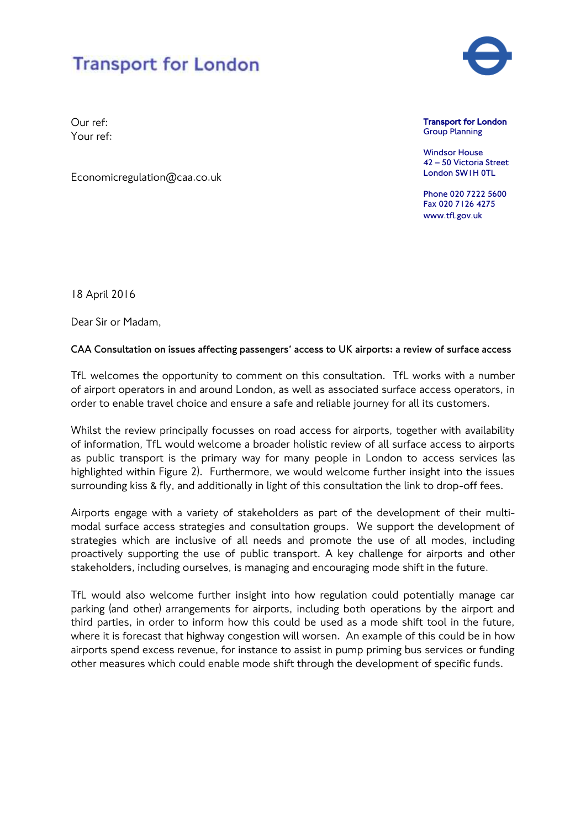

Our ref: Your ref:

Economicregulation@caa.co.uk

Transport for London Group Planning

Windsor House 42 – 50 Victoria Street London SW1H 0TL

Phone 020 7222 5600 Fax 020 7126 4275 www.tfl.gov.uk

18 April 2016

Dear Sir or Madam,

## **CAA Consultation on issues affecting passengers' access to UK airports: a review of surface access**

TfL welcomes the opportunity to comment on this consultation. TfL works with a number of airport operators in and around London, as well as associated surface access operators, in order to enable travel choice and ensure a safe and reliable journey for all its customers.

Whilst the review principally focusses on road access for airports, together with availability of information, TfL would welcome a broader holistic review of all surface access to airports as public transport is the primary way for many people in London to access services (as highlighted within Figure 2). Furthermore, we would welcome further insight into the issues surrounding kiss & fly, and additionally in light of this consultation the link to drop-off fees.

Airports engage with a variety of stakeholders as part of the development of their multimodal surface access strategies and consultation groups. We support the development of strategies which are inclusive of all needs and promote the use of all modes, including proactively supporting the use of public transport. A key challenge for airports and other stakeholders, including ourselves, is managing and encouraging mode shift in the future.

TfL would also welcome further insight into how regulation could potentially manage car parking (and other) arrangements for airports, including both operations by the airport and third parties, in order to inform how this could be used as a mode shift tool in the future, where it is forecast that highway congestion will worsen. An example of this could be in how airports spend excess revenue, for instance to assist in pump priming bus services or funding other measures which could enable mode shift through the development of specific funds.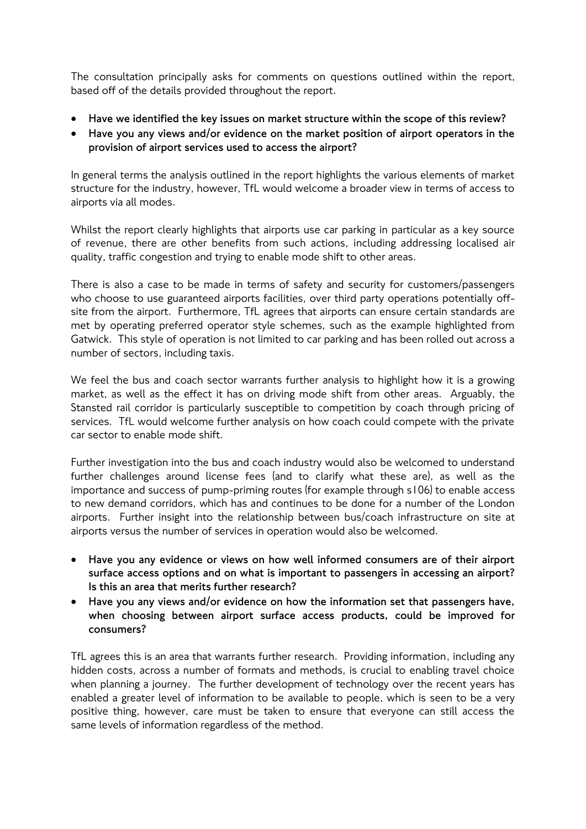The consultation principally asks for comments on questions outlined within the report, based off of the details provided throughout the report.

- **Have we identified the key issues on market structure within the scope of this review?**
- **Have you any views and/or evidence on the market position of airport operators in the provision of airport services used to access the airport?**

In general terms the analysis outlined in the report highlights the various elements of market structure for the industry, however, TfL would welcome a broader view in terms of access to airports via all modes.

Whilst the report clearly highlights that airports use car parking in particular as a key source of revenue, there are other benefits from such actions, including addressing localised air quality, traffic congestion and trying to enable mode shift to other areas.

There is also a case to be made in terms of safety and security for customers/passengers who choose to use guaranteed airports facilities, over third party operations potentially offsite from the airport. Furthermore, TfL agrees that airports can ensure certain standards are met by operating preferred operator style schemes, such as the example highlighted from Gatwick. This style of operation is not limited to car parking and has been rolled out across a number of sectors, including taxis.

We feel the bus and coach sector warrants further analysis to highlight how it is a growing market, as well as the effect it has on driving mode shift from other areas. Arguably, the Stansted rail corridor is particularly susceptible to competition by coach through pricing of services. TfL would welcome further analysis on how coach could compete with the private car sector to enable mode shift.

Further investigation into the bus and coach industry would also be welcomed to understand further challenges around license fees (and to clarify what these are), as well as the importance and success of pump-priming routes (for example through s106) to enable access to new demand corridors, which has and continues to be done for a number of the London airports. Further insight into the relationship between bus/coach infrastructure on site at airports versus the number of services in operation would also be welcomed.

- **Have you any evidence or views on how well informed consumers are of their airport surface access options and on what is important to passengers in accessing an airport? Is this an area that merits further research?**
- **Have you any views and/or evidence on how the information set that passengers have, when choosing between airport surface access products, could be improved for consumers?**

TfL agrees this is an area that warrants further research. Providing information, including any hidden costs, across a number of formats and methods, is crucial to enabling travel choice when planning a journey. The further development of technology over the recent years has enabled a greater level of information to be available to people, which is seen to be a very positive thing, however, care must be taken to ensure that everyone can still access the same levels of information regardless of the method.